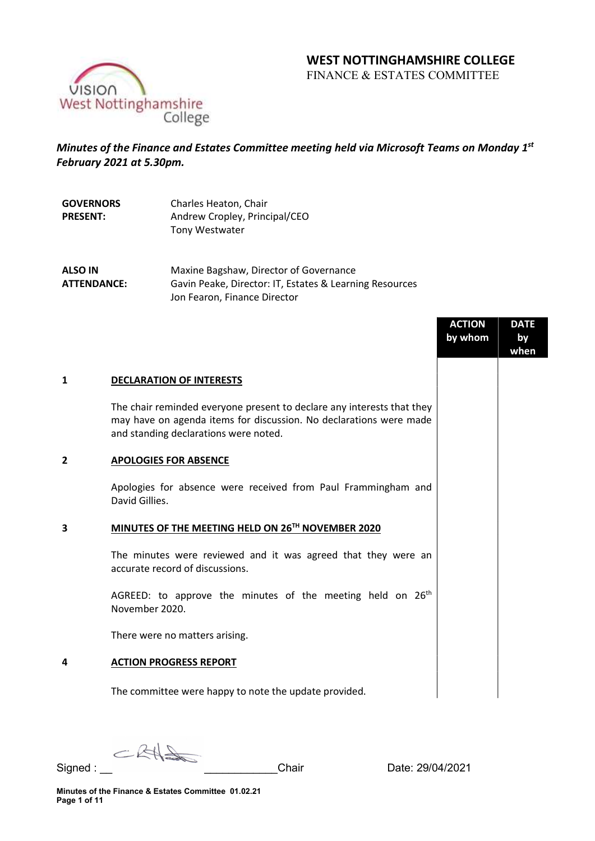# WEST NOTTINGHAMSHIRE COLLEGE

FINANCE & ESTATES COMMITTEE



# Minutes of the Finance and Estates Committee meeting held via Microsoft Teams on Monday 1st February 2021 at 5.30pm.

| <b>GOVERNORS</b> | Charles Heaton, Chair         |
|------------------|-------------------------------|
| <b>PRESENT:</b>  | Andrew Cropley, Principal/CEO |
|                  | Tony Westwater                |

ALSO IN ATTENDANCE: Maxine Bagshaw, Director of Governance Gavin Peake, Director: IT, Estates & Learning Resources Jon Fearon, Finance Director

|   |                                                                                                                                                                                       | <b>ACTION</b> | <b>DATE</b> |
|---|---------------------------------------------------------------------------------------------------------------------------------------------------------------------------------------|---------------|-------------|
|   |                                                                                                                                                                                       | by whom       | by<br>when  |
|   |                                                                                                                                                                                       |               |             |
| 1 | <b>DECLARATION OF INTERESTS</b>                                                                                                                                                       |               |             |
|   | The chair reminded everyone present to declare any interests that they<br>may have on agenda items for discussion. No declarations were made<br>and standing declarations were noted. |               |             |
| 2 | <b>APOLOGIES FOR ABSENCE</b>                                                                                                                                                          |               |             |
|   | Apologies for absence were received from Paul Frammingham and<br>David Gillies.                                                                                                       |               |             |
| 3 | MINUTES OF THE MEETING HELD ON 26TH NOVEMBER 2020                                                                                                                                     |               |             |
|   | The minutes were reviewed and it was agreed that they were an<br>accurate record of discussions.                                                                                      |               |             |
|   | AGREED: to approve the minutes of the meeting held on 26 <sup>th</sup><br>November 2020.                                                                                              |               |             |
|   | There were no matters arising.                                                                                                                                                        |               |             |
| 4 | <b>ACTION PROGRESS REPORT</b>                                                                                                                                                         |               |             |
|   | The committee were happy to note the update provided.                                                                                                                                 |               |             |

CRHS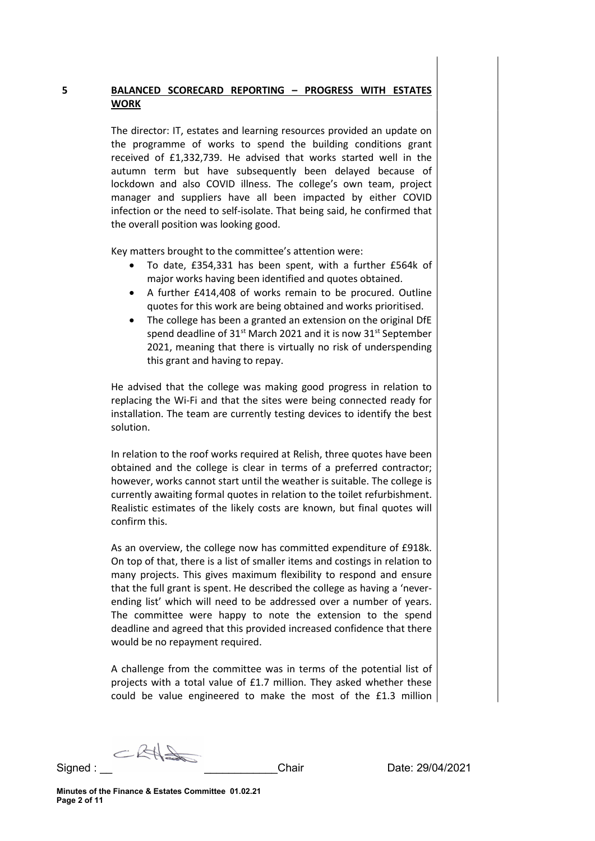# 5 BALANCED SCORECARD REPORTING – PROGRESS WITH ESTATES WORK

The director: IT, estates and learning resources provided an update on the programme of works to spend the building conditions grant received of £1,332,739. He advised that works started well in the autumn term but have subsequently been delayed because of lockdown and also COVID illness. The college's own team, project manager and suppliers have all been impacted by either COVID infection or the need to self-isolate. That being said, he confirmed that the overall position was looking good.

Key matters brought to the committee's attention were:

- To date, £354,331 has been spent, with a further £564k of major works having been identified and quotes obtained.
- A further £414,408 of works remain to be procured. Outline quotes for this work are being obtained and works prioritised.
- The college has been a granted an extension on the original DfE spend deadline of 31<sup>st</sup> March 2021 and it is now 31<sup>st</sup> September 2021, meaning that there is virtually no risk of underspending this grant and having to repay.

He advised that the college was making good progress in relation to replacing the Wi-Fi and that the sites were being connected ready for installation. The team are currently testing devices to identify the best solution.

In relation to the roof works required at Relish, three quotes have been obtained and the college is clear in terms of a preferred contractor; however, works cannot start until the weather is suitable. The college is currently awaiting formal quotes in relation to the toilet refurbishment. Realistic estimates of the likely costs are known, but final quotes will confirm this.

As an overview, the college now has committed expenditure of £918k. On top of that, there is a list of smaller items and costings in relation to many projects. This gives maximum flexibility to respond and ensure that the full grant is spent. He described the college as having a 'neverending list' which will need to be addressed over a number of years. The committee were happy to note the extension to the spend deadline and agreed that this provided increased confidence that there would be no repayment required.

A challenge from the committee was in terms of the potential list of projects with a total value of £1.7 million. They asked whether these could be value engineered to make the most of the £1.3 million

CRA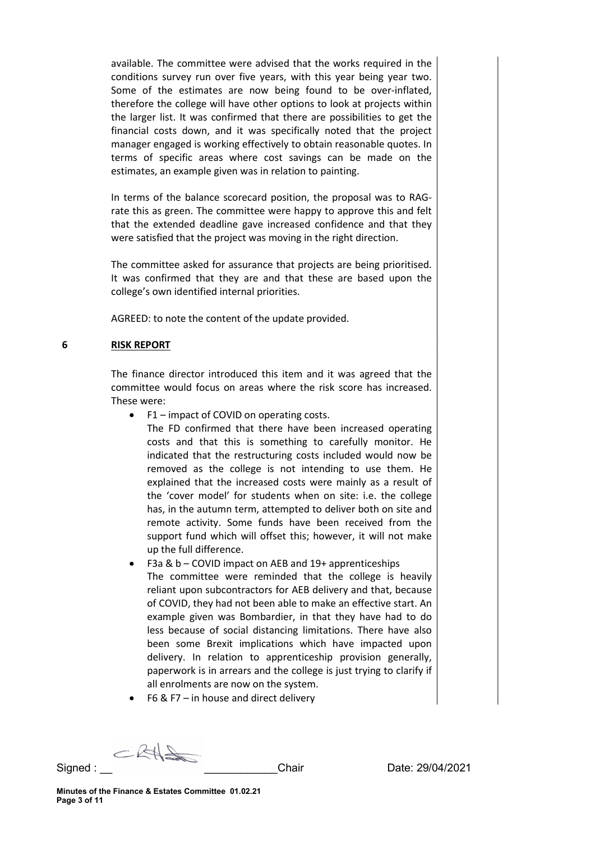available. The committee were advised that the works required in the conditions survey run over five years, with this year being year two. Some of the estimates are now being found to be over-inflated, therefore the college will have other options to look at projects within the larger list. It was confirmed that there are possibilities to get the financial costs down, and it was specifically noted that the project manager engaged is working effectively to obtain reasonable quotes. In terms of specific areas where cost savings can be made on the estimates, an example given was in relation to painting.

In terms of the balance scorecard position, the proposal was to RAGrate this as green. The committee were happy to approve this and felt that the extended deadline gave increased confidence and that they were satisfied that the project was moving in the right direction.

The committee asked for assurance that projects are being prioritised. It was confirmed that they are and that these are based upon the college's own identified internal priorities.

AGREED: to note the content of the update provided.

## 6 RISK REPORT

The finance director introduced this item and it was agreed that the committee would focus on areas where the risk score has increased. These were:

• F1 – impact of COVID on operating costs.

The FD confirmed that there have been increased operating costs and that this is something to carefully monitor. He indicated that the restructuring costs included would now be removed as the college is not intending to use them. He explained that the increased costs were mainly as a result of the 'cover model' for students when on site: i.e. the college has, in the autumn term, attempted to deliver both on site and remote activity. Some funds have been received from the support fund which will offset this; however, it will not make up the full difference.

- F3a & b COVID impact on AEB and 19+ apprenticeships The committee were reminded that the college is heavily reliant upon subcontractors for AEB delivery and that, because of COVID, they had not been able to make an effective start. An example given was Bombardier, in that they have had to do less because of social distancing limitations. There have also been some Brexit implications which have impacted upon delivery. In relation to apprenticeship provision generally, paperwork is in arrears and the college is just trying to clarify if all enrolments are now on the system.
- F6 & F7 in house and direct delivery

CRAS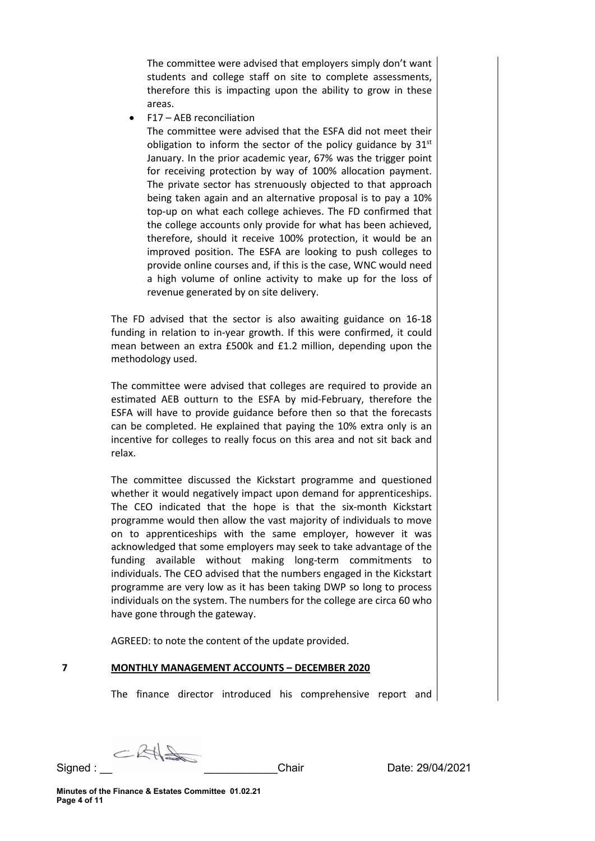The committee were advised that employers simply don't want students and college staff on site to complete assessments, therefore this is impacting upon the ability to grow in these areas.

F17 – AEB reconciliation

The committee were advised that the ESFA did not meet their obligation to inform the sector of the policy guidance by  $31<sup>st</sup>$ January. In the prior academic year, 67% was the trigger point for receiving protection by way of 100% allocation payment. The private sector has strenuously objected to that approach being taken again and an alternative proposal is to pay a 10% top-up on what each college achieves. The FD confirmed that the college accounts only provide for what has been achieved, therefore, should it receive 100% protection, it would be an improved position. The ESFA are looking to push colleges to provide online courses and, if this is the case, WNC would need a high volume of online activity to make up for the loss of revenue generated by on site delivery.

The FD advised that the sector is also awaiting guidance on 16-18 funding in relation to in-year growth. If this were confirmed, it could mean between an extra £500k and £1.2 million, depending upon the methodology used.

The committee were advised that colleges are required to provide an estimated AEB outturn to the ESFA by mid-February, therefore the ESFA will have to provide guidance before then so that the forecasts can be completed. He explained that paying the 10% extra only is an incentive for colleges to really focus on this area and not sit back and relax.

The committee discussed the Kickstart programme and questioned whether it would negatively impact upon demand for apprenticeships. The CEO indicated that the hope is that the six-month Kickstart programme would then allow the vast majority of individuals to move on to apprenticeships with the same employer, however it was acknowledged that some employers may seek to take advantage of the funding available without making long-term commitments to individuals. The CEO advised that the numbers engaged in the Kickstart programme are very low as it has been taking DWP so long to process individuals on the system. The numbers for the college are circa 60 who have gone through the gateway.

AGREED: to note the content of the update provided.

## 7 MONTHLY MANAGEMENT ACCOUNTS – DECEMBER 2020

The finance director introduced his comprehensive report and

CRAS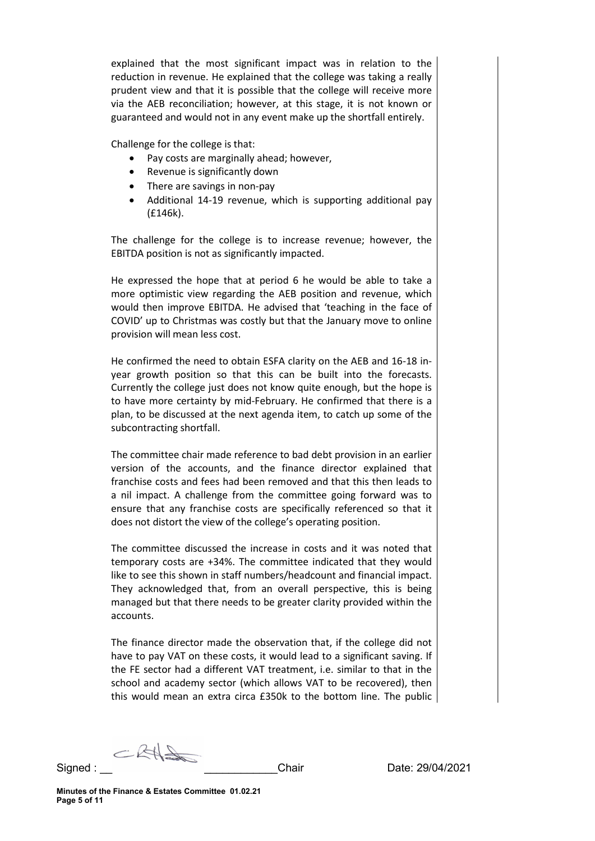explained that the most significant impact was in relation to the reduction in revenue. He explained that the college was taking a really prudent view and that it is possible that the college will receive more via the AEB reconciliation; however, at this stage, it is not known or guaranteed and would not in any event make up the shortfall entirely.

Challenge for the college is that:

- Pay costs are marginally ahead; however,
- Revenue is significantly down
- There are savings in non-pay
- Additional 14-19 revenue, which is supporting additional pay (£146k).

The challenge for the college is to increase revenue; however, the EBITDA position is not as significantly impacted.

He expressed the hope that at period 6 he would be able to take a more optimistic view regarding the AEB position and revenue, which would then improve EBITDA. He advised that 'teaching in the face of COVID' up to Christmas was costly but that the January move to online provision will mean less cost.

He confirmed the need to obtain ESFA clarity on the AEB and 16-18 inyear growth position so that this can be built into the forecasts. Currently the college just does not know quite enough, but the hope is to have more certainty by mid-February. He confirmed that there is a plan, to be discussed at the next agenda item, to catch up some of the subcontracting shortfall.

The committee chair made reference to bad debt provision in an earlier version of the accounts, and the finance director explained that franchise costs and fees had been removed and that this then leads to a nil impact. A challenge from the committee going forward was to ensure that any franchise costs are specifically referenced so that it does not distort the view of the college's operating position.

The committee discussed the increase in costs and it was noted that temporary costs are +34%. The committee indicated that they would like to see this shown in staff numbers/headcount and financial impact. They acknowledged that, from an overall perspective, this is being managed but that there needs to be greater clarity provided within the accounts.

The finance director made the observation that, if the college did not have to pay VAT on these costs, it would lead to a significant saving. If the FE sector had a different VAT treatment, i.e. similar to that in the school and academy sector (which allows VAT to be recovered), then this would mean an extra circa £350k to the bottom line. The public

CRAS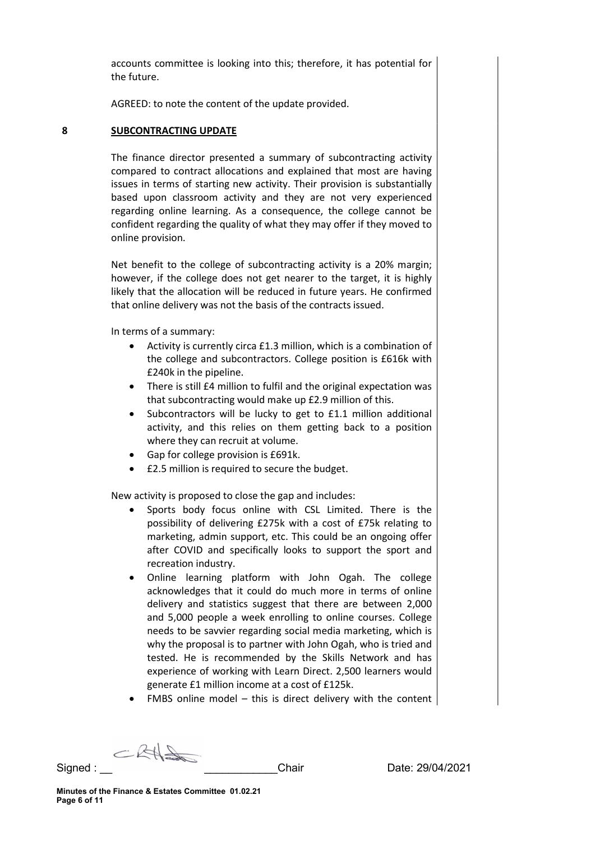accounts committee is looking into this; therefore, it has potential for the future.

AGREED: to note the content of the update provided.

#### 8 SUBCONTRACTING UPDATE

The finance director presented a summary of subcontracting activity compared to contract allocations and explained that most are having issues in terms of starting new activity. Their provision is substantially based upon classroom activity and they are not very experienced regarding online learning. As a consequence, the college cannot be confident regarding the quality of what they may offer if they moved to online provision.

Net benefit to the college of subcontracting activity is a 20% margin; however, if the college does not get nearer to the target, it is highly likely that the allocation will be reduced in future years. He confirmed that online delivery was not the basis of the contracts issued.

In terms of a summary:

- Activity is currently circa £1.3 million, which is a combination of the college and subcontractors. College position is £616k with £240k in the pipeline.
- There is still £4 million to fulfil and the original expectation was that subcontracting would make up £2.9 million of this.
- Subcontractors will be lucky to get to £1.1 million additional activity, and this relies on them getting back to a position where they can recruit at volume.
- Gap for college provision is £691k.
- £2.5 million is required to secure the budget.

New activity is proposed to close the gap and includes:

- Sports body focus online with CSL Limited. There is the possibility of delivering £275k with a cost of £75k relating to marketing, admin support, etc. This could be an ongoing offer after COVID and specifically looks to support the sport and recreation industry.
- Online learning platform with John Ogah. The college acknowledges that it could do much more in terms of online delivery and statistics suggest that there are between 2,000 and 5,000 people a week enrolling to online courses. College needs to be savvier regarding social media marketing, which is why the proposal is to partner with John Ogah, who is tried and tested. He is recommended by the Skills Network and has experience of working with Learn Direct. 2,500 learners would generate £1 million income at a cost of £125k.
- FMBS online model this is direct delivery with the content

CRAS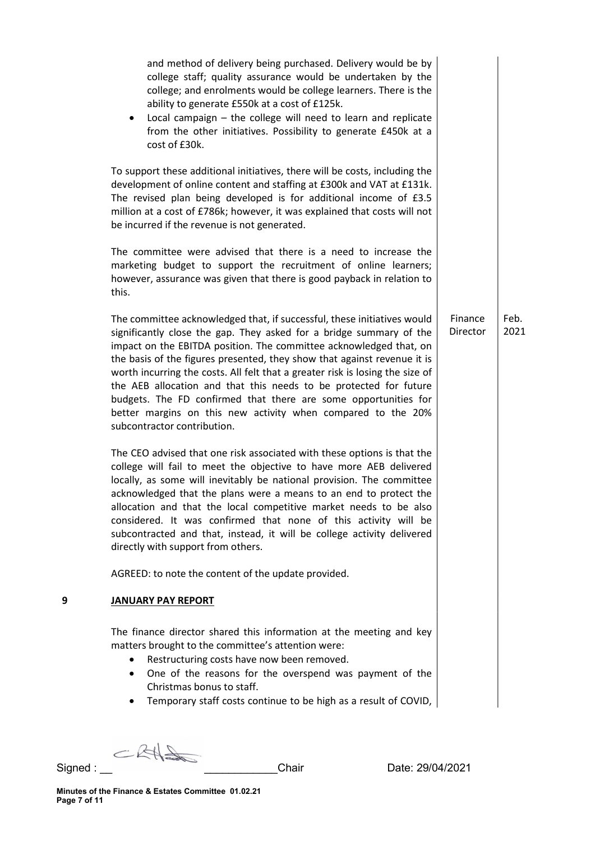|   | and method of delivery being purchased. Delivery would be by<br>college staff; quality assurance would be undertaken by the<br>college; and enrolments would be college learners. There is the<br>ability to generate £550k at a cost of £125k.<br>Local campaign $-$ the college will need to learn and replicate<br>from the other initiatives. Possibility to generate £450k at a<br>cost of £30k.                                                                                                                                                                                                                    |                     |              |
|---|--------------------------------------------------------------------------------------------------------------------------------------------------------------------------------------------------------------------------------------------------------------------------------------------------------------------------------------------------------------------------------------------------------------------------------------------------------------------------------------------------------------------------------------------------------------------------------------------------------------------------|---------------------|--------------|
|   | To support these additional initiatives, there will be costs, including the<br>development of online content and staffing at £300k and VAT at £131k.<br>The revised plan being developed is for additional income of £3.5<br>million at a cost of £786k; however, it was explained that costs will not<br>be incurred if the revenue is not generated.                                                                                                                                                                                                                                                                   |                     |              |
|   | The committee were advised that there is a need to increase the<br>marketing budget to support the recruitment of online learners;<br>however, assurance was given that there is good payback in relation to<br>this.                                                                                                                                                                                                                                                                                                                                                                                                    |                     |              |
|   | The committee acknowledged that, if successful, these initiatives would<br>significantly close the gap. They asked for a bridge summary of the<br>impact on the EBITDA position. The committee acknowledged that, on<br>the basis of the figures presented, they show that against revenue it is<br>worth incurring the costs. All felt that a greater risk is losing the size of<br>the AEB allocation and that this needs to be protected for future<br>budgets. The FD confirmed that there are some opportunities for<br>better margins on this new activity when compared to the 20%<br>subcontractor contribution. | Finance<br>Director | Feb.<br>2021 |
|   | The CEO advised that one risk associated with these options is that the<br>college will fail to meet the objective to have more AEB delivered<br>locally, as some will inevitably be national provision. The committee<br>acknowledged that the plans were a means to an end to protect the<br>allocation and that the local competitive market needs to be also<br>considered. It was confirmed that none of this activity will be<br>subcontracted and that, instead, it will be college activity delivered<br>directly with support from others.                                                                      |                     |              |
|   | AGREED: to note the content of the update provided.                                                                                                                                                                                                                                                                                                                                                                                                                                                                                                                                                                      |                     |              |
| 9 | <b>JANUARY PAY REPORT</b>                                                                                                                                                                                                                                                                                                                                                                                                                                                                                                                                                                                                |                     |              |
|   | The finance director shared this information at the meeting and key<br>matters brought to the committee's attention were:<br>Restructuring costs have now been removed.<br>One of the reasons for the overspend was payment of the<br>٠<br>Christmas bonus to staff.<br>Temporary staff costs continue to be high as a result of COVID,                                                                                                                                                                                                                                                                                  |                     |              |

 $CRH$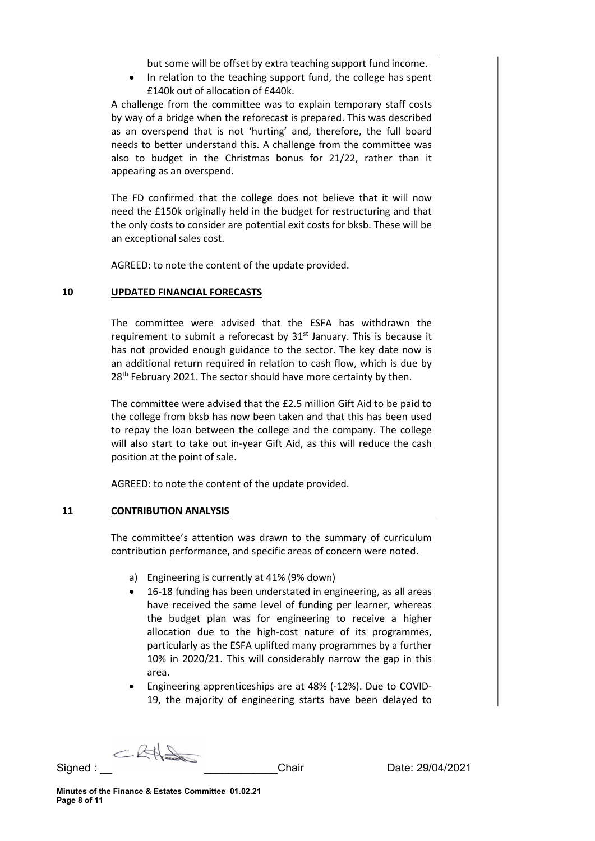but some will be offset by extra teaching support fund income.

 In relation to the teaching support fund, the college has spent £140k out of allocation of £440k.

A challenge from the committee was to explain temporary staff costs by way of a bridge when the reforecast is prepared. This was described as an overspend that is not 'hurting' and, therefore, the full board needs to better understand this. A challenge from the committee was also to budget in the Christmas bonus for 21/22, rather than it appearing as an overspend.

The FD confirmed that the college does not believe that it will now need the £150k originally held in the budget for restructuring and that the only costs to consider are potential exit costs for bksb. These will be an exceptional sales cost.

AGREED: to note the content of the update provided.

## 10 UPDATED FINANCIAL FORECASTS

The committee were advised that the ESFA has withdrawn the requirement to submit a reforecast by  $31<sup>st</sup>$  January. This is because it has not provided enough guidance to the sector. The key date now is an additional return required in relation to cash flow, which is due by 28<sup>th</sup> February 2021. The sector should have more certainty by then.

The committee were advised that the £2.5 million Gift Aid to be paid to the college from bksb has now been taken and that this has been used to repay the loan between the college and the company. The college will also start to take out in-year Gift Aid, as this will reduce the cash position at the point of sale.

AGREED: to note the content of the update provided.

## 11 CONTRIBUTION ANALYSIS

The committee's attention was drawn to the summary of curriculum contribution performance, and specific areas of concern were noted.

- a) Engineering is currently at 41% (9% down)
- 16-18 funding has been understated in engineering, as all areas have received the same level of funding per learner, whereas the budget plan was for engineering to receive a higher allocation due to the high-cost nature of its programmes, particularly as the ESFA uplifted many programmes by a further 10% in 2020/21. This will considerably narrow the gap in this area.
- Engineering apprenticeships are at 48% (-12%). Due to COVID-19, the majority of engineering starts have been delayed to

CRAS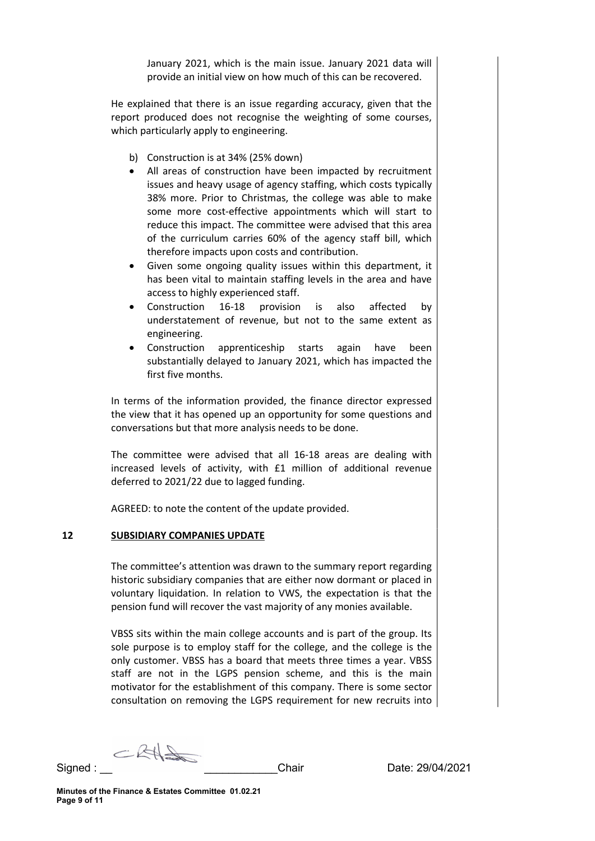January 2021, which is the main issue. January 2021 data will provide an initial view on how much of this can be recovered.

He explained that there is an issue regarding accuracy, given that the report produced does not recognise the weighting of some courses, which particularly apply to engineering.

- b) Construction is at 34% (25% down)
- All areas of construction have been impacted by recruitment issues and heavy usage of agency staffing, which costs typically 38% more. Prior to Christmas, the college was able to make some more cost-effective appointments which will start to reduce this impact. The committee were advised that this area of the curriculum carries 60% of the agency staff bill, which therefore impacts upon costs and contribution.
- Given some ongoing quality issues within this department, it has been vital to maintain staffing levels in the area and have access to highly experienced staff.
- Construction 16-18 provision is also affected by understatement of revenue, but not to the same extent as engineering.
- Construction apprenticeship starts again have been substantially delayed to January 2021, which has impacted the first five months.

In terms of the information provided, the finance director expressed the view that it has opened up an opportunity for some questions and conversations but that more analysis needs to be done.

The committee were advised that all 16-18 areas are dealing with increased levels of activity, with £1 million of additional revenue deferred to 2021/22 due to lagged funding.

AGREED: to note the content of the update provided.

## 12 SUBSIDIARY COMPANIES UPDATE

The committee's attention was drawn to the summary report regarding historic subsidiary companies that are either now dormant or placed in voluntary liquidation. In relation to VWS, the expectation is that the pension fund will recover the vast majority of any monies available.

VBSS sits within the main college accounts and is part of the group. Its sole purpose is to employ staff for the college, and the college is the only customer. VBSS has a board that meets three times a year. VBSS staff are not in the LGPS pension scheme, and this is the main motivator for the establishment of this company. There is some sector consultation on removing the LGPS requirement for new recruits into

CRAS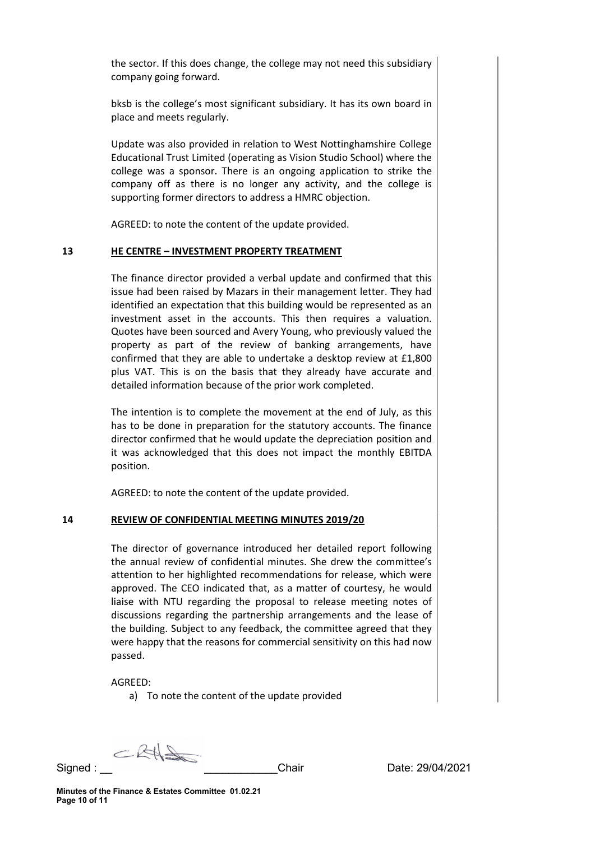the sector. If this does change, the college may not need this subsidiary company going forward.

bksb is the college's most significant subsidiary. It has its own board in place and meets regularly.

Update was also provided in relation to West Nottinghamshire College Educational Trust Limited (operating as Vision Studio School) where the college was a sponsor. There is an ongoing application to strike the company off as there is no longer any activity, and the college is supporting former directors to address a HMRC objection.

AGREED: to note the content of the update provided.

#### 13 HE CENTRE – INVESTMENT PROPERTY TREATMENT

The finance director provided a verbal update and confirmed that this issue had been raised by Mazars in their management letter. They had identified an expectation that this building would be represented as an investment asset in the accounts. This then requires a valuation. Quotes have been sourced and Avery Young, who previously valued the property as part of the review of banking arrangements, have confirmed that they are able to undertake a desktop review at £1,800 plus VAT. This is on the basis that they already have accurate and detailed information because of the prior work completed.

The intention is to complete the movement at the end of July, as this has to be done in preparation for the statutory accounts. The finance director confirmed that he would update the depreciation position and it was acknowledged that this does not impact the monthly EBITDA position.

AGREED: to note the content of the update provided.

## 14 REVIEW OF CONFIDENTIAL MEETING MINUTES 2019/20

The director of governance introduced her detailed report following the annual review of confidential minutes. She drew the committee's attention to her highlighted recommendations for release, which were approved. The CEO indicated that, as a matter of courtesy, he would liaise with NTU regarding the proposal to release meeting notes of discussions regarding the partnership arrangements and the lease of the building. Subject to any feedback, the committee agreed that they were happy that the reasons for commercial sensitivity on this had now passed.

## AGREED:

a) To note the content of the update provided

CRAS